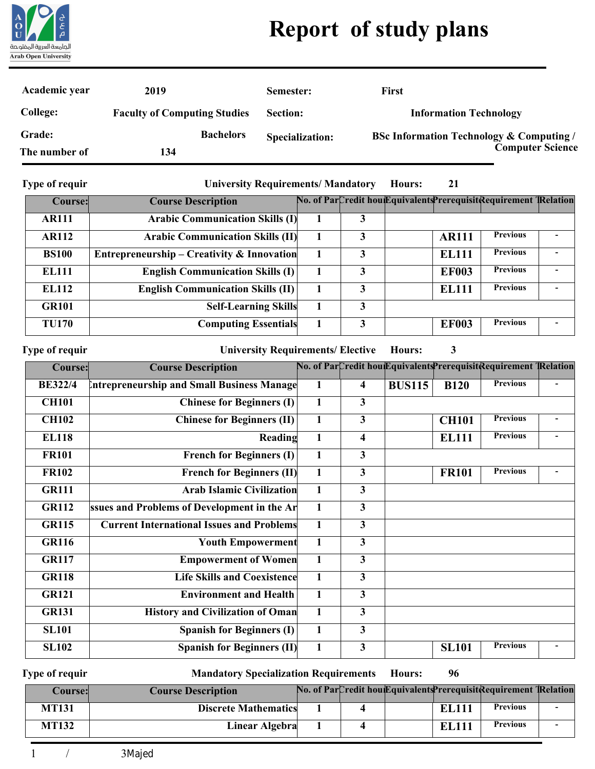

## **Report of study plans**

**21**

**3**

| Academic year   | 2019                                | Semester:              | First                                               |
|-----------------|-------------------------------------|------------------------|-----------------------------------------------------|
| <b>College:</b> | <b>Faculty of Computing Studies</b> | <b>Section:</b>        | <b>Information Technology</b>                       |
| Grade:          | <b>Bachelors</b>                    | <b>Specialization:</b> | <b>BSc Information Technology &amp; Computing /</b> |
| The number of   | 134                                 |                        | <b>Computer Science</b>                             |

**Type of requir**

**University Requirements/ Mandatory Hours:**

| <b>Course:</b> | <b>Course Description</b>                             |   | No. of ParCredit hou Equivalents Prerequisit Requirement TRelation |                 |  |
|----------------|-------------------------------------------------------|---|--------------------------------------------------------------------|-----------------|--|
| <b>AR111</b>   | <b>Arabic Communication Skills (I)</b>                |   |                                                                    |                 |  |
| <b>AR112</b>   | <b>Arabic Communication Skills (II)</b>               |   | <b>AR111</b>                                                       | <b>Previous</b> |  |
| <b>BS100</b>   | <b>Entrepreneurship – Creativity &amp; Innovation</b> | 3 | <b>EL111</b>                                                       | <b>Previous</b> |  |
| <b>EL111</b>   | <b>English Communication Skills (I)</b>               | 3 | <b>EF003</b>                                                       | <b>Previous</b> |  |
| <b>EL112</b>   | <b>English Communication Skills (II)</b>              | 3 | <b>EL111</b>                                                       | <b>Previous</b> |  |
| <b>GR101</b>   | <b>Self-Learning Skills</b>                           | 3 |                                                                    |                 |  |
| <b>TU170</b>   | <b>Computing Essentials</b>                           | 3 | <b>EF003</b>                                                       | <b>Previous</b> |  |

**Type of requir**

**University Requirements/ Elective Hours:**

**BE322/4 CH101 CH102 EL118 FR101 FR102 GR111 GR112 GR115 GR116 GR117 GR118 GR121 GR131 SL101 SL102 Entrepreneurship and Small Business Manage Chinese for Beginners (I) Chinese for Beginners (II) Reading French for Beginners (I) French for Beginners (II) Arab Islamic Civilization Issues and Problems of Development in the Ar Current International Issues and Problems Youth Empowerment Empowerment of Women Life Skills and Coexistence Environment and Health History and Civilization of Oman Spanish for Beginners (I) Spanish for Beginners (II) 1 1 1 1 1 1 1 1 1 1 1 1 1 1 1 1 4 3 3 4 3 3 3 3 3 3 3 3 3 3 3 3 B120 CH101 EL111 FR101 SL101 BUS115 Course Description Course:** No. of ParCredit hou Equivalents Prerequisit Requirement TRelation **Previous Previous Previous Previous Previous - - - - -**

**Type of requir**

**Mandatory Specialization Requirements Hours:**

| Course:      | <b>Course Description</b>   |  |              | No. of ParCredit hou Equivalents Prerequisit Requirement TRelation |  |
|--------------|-----------------------------|--|--------------|--------------------------------------------------------------------|--|
| <b>MT131</b> | <b>Discrete Mathematics</b> |  | <b>EL111</b> | <b>Previous</b>                                                    |  |
| <b>MT132</b> | Linear Algebra              |  | <b>EL111</b> | <b>Previous</b>                                                    |  |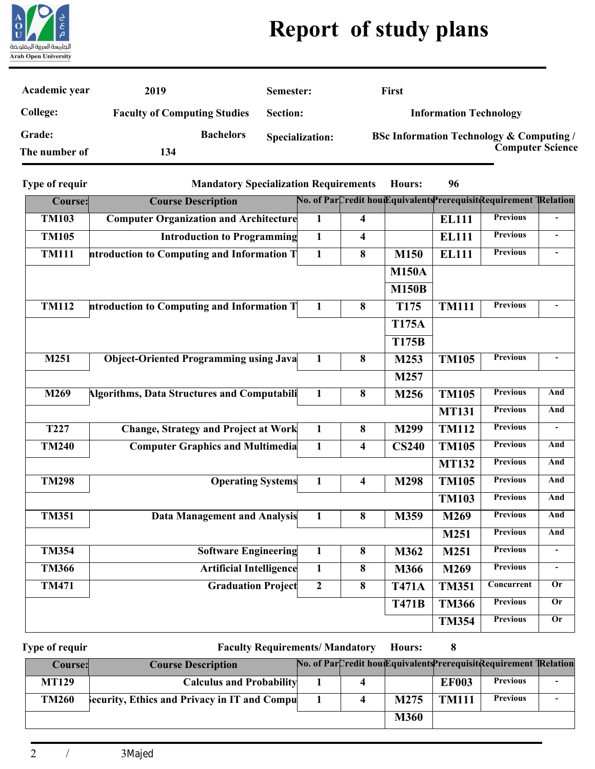

## **Report of study plans**

| Academic year           | 2019                                                   | Semester:        |                               | First        |                                                                                |                                                                    |                 |  |
|-------------------------|--------------------------------------------------------|------------------|-------------------------------|--------------|--------------------------------------------------------------------------------|--------------------------------------------------------------------|-----------------|--|
| College:                | <b>Faculty of Computing Studies</b><br><b>Section:</b> |                  | <b>Information Technology</b> |              |                                                                                |                                                                    |                 |  |
| Grade:<br>The number of | <b>Bachelors</b><br>134                                | Specialization:  |                               |              | <b>BSc Information Technology &amp; Computing /</b><br><b>Computer Science</b> |                                                                    |                 |  |
| <b>Type of requir</b>   | <b>Mandatory Specialization Requirements</b>           |                  |                               | Hours:       | 96                                                                             |                                                                    |                 |  |
| Course:                 | <b>Course Description</b>                              |                  |                               |              |                                                                                | No. of ParCredit hou Equivalents Prerequisit Requirement TRelation |                 |  |
| <b>TM103</b>            | <b>Computer Organization and Architecture</b>          | 1                | 4                             |              | <b>EL111</b>                                                                   | <b>Previous</b>                                                    |                 |  |
| <b>TM105</b>            | <b>Introduction to Programming</b>                     | $\mathbf{1}$     | 4                             |              | <b>EL111</b>                                                                   | <b>Previous</b>                                                    |                 |  |
| <b>TM111</b>            | ntroduction to Computing and Information T             | 1                | 8                             | <b>M150</b>  | <b>EL111</b>                                                                   | <b>Previous</b>                                                    |                 |  |
|                         |                                                        |                  |                               | <b>M150A</b> |                                                                                |                                                                    |                 |  |
|                         |                                                        |                  |                               | <b>M150B</b> |                                                                                |                                                                    |                 |  |
| <b>TM112</b>            | ntroduction to Computing and Information T             | 1                | 8                             | T175         | <b>TM111</b>                                                                   | <b>Previous</b>                                                    |                 |  |
|                         |                                                        |                  |                               | <b>T175A</b> |                                                                                |                                                                    |                 |  |
|                         |                                                        |                  |                               | <b>T175B</b> |                                                                                |                                                                    |                 |  |
| M251                    | <b>Object-Oriented Programming using Java</b>          | 1                | 8                             | M253         | <b>TM105</b>                                                                   | <b>Previous</b>                                                    |                 |  |
|                         |                                                        |                  |                               | M257         |                                                                                |                                                                    |                 |  |
| M269                    | <b>Algorithms, Data Structures and Computabili</b>     | 1                | 8                             | M256         | <b>TM105</b>                                                                   | <b>Previous</b>                                                    | And             |  |
|                         |                                                        |                  |                               |              | <b>MT131</b>                                                                   | <b>Previous</b>                                                    | And             |  |
| T227                    | <b>Change, Strategy and Project at Work</b>            | $\mathbf{1}$     | 8                             | M299         | <b>TM112</b>                                                                   | <b>Previous</b>                                                    |                 |  |
| <b>TM240</b>            | <b>Computer Graphics and Multimedia</b>                | $\mathbf{1}$     | $\overline{\mathbf{4}}$       | <b>CS240</b> | <b>TM105</b>                                                                   | <b>Previous</b>                                                    | And             |  |
|                         |                                                        |                  |                               |              | <b>MT132</b>                                                                   | <b>Previous</b>                                                    | And             |  |
| <b>TM298</b>            | <b>Operating Systems</b>                               | 1                | $\overline{\mathbf{4}}$       | M298         | <b>TM105</b>                                                                   | <b>Previous</b>                                                    | And             |  |
|                         |                                                        |                  |                               |              | <b>TM103</b>                                                                   | <b>Previous</b>                                                    | And             |  |
| <b>TM351</b>            | <b>Data Management and Analysis</b>                    | 1                | 8                             | M359         | M269                                                                           | <b>Previous</b>                                                    | And             |  |
|                         |                                                        |                  |                               |              | M251                                                                           | <b>Previous</b>                                                    | And             |  |
| <b>TM354</b>            | <b>Software Engineering</b>                            | $\mathbf{1}$     | 8                             | M362         | M251                                                                           | <b>Previous</b>                                                    |                 |  |
| <b>TM366</b>            | <b>Artificial Intelligence</b>                         | $\mathbf{1}$     | 8                             | M366         | M269                                                                           | <b>Previous</b>                                                    |                 |  |
| <b>TM471</b>            | <b>Graduation Project</b>                              | $\boldsymbol{2}$ | 8                             | <b>T471A</b> | <b>TM351</b>                                                                   | Concurrent                                                         | <b>Or</b>       |  |
|                         |                                                        |                  |                               | <b>T471B</b> | <b>TM366</b>                                                                   | <b>Previous</b>                                                    | 0r              |  |
|                         |                                                        |                  |                               |              | <b>TM354</b>                                                                   | <b>Previous</b>                                                    | $\overline{0r}$ |  |

**Type of requir**

Faculty Requirements/ Mandatory Hours:

**8**

| Course:      | <b>Course Description</b>                             |  |             |              | No. of ParCredit hou Equivalents Prerequisit Requirement TRelation |  |
|--------------|-------------------------------------------------------|--|-------------|--------------|--------------------------------------------------------------------|--|
| <b>MT129</b> | <b>Calculus and Probability</b>                       |  |             | <b>EF003</b> | <b>Previous</b>                                                    |  |
| <b>TM260</b> | <b>Security, Ethics and Privacy in IT and Compul-</b> |  | M275        | <b>TM111</b> | <b>Previous</b>                                                    |  |
|              |                                                       |  | <b>M360</b> |              |                                                                    |  |